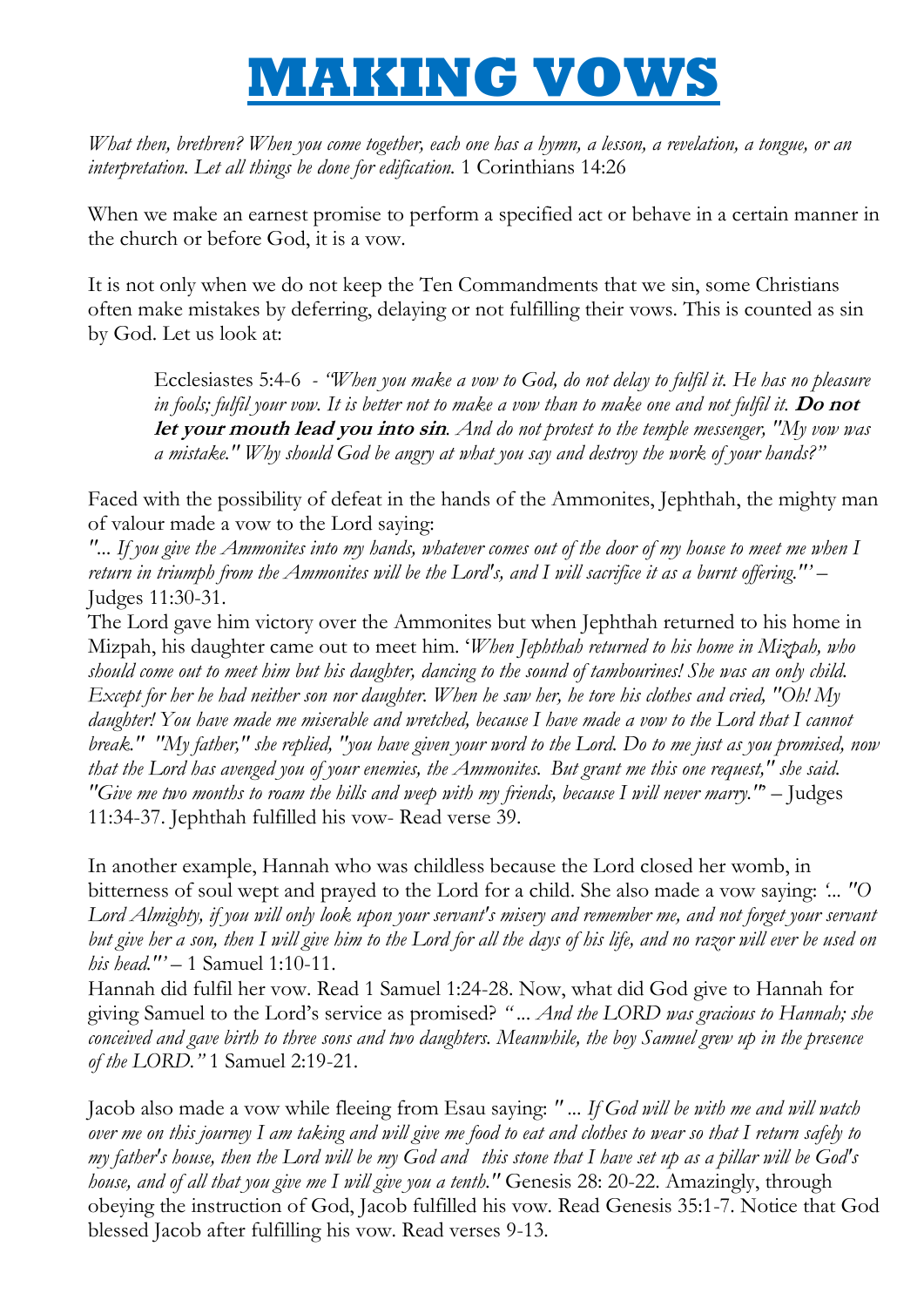## **MAKING VOWS**

*What then, brethren? When you come together, each one has a hymn, a lesson, a revelation, a tongue, or an interpretation. Let all things be done for edification.* 1 Corinthians 14:26

When we make an earnest promise to perform a specified act or behave in a certain manner in the church or before God, it is a vow.

It is not only when we do not keep the Ten Commandments that we sin, some Christians often make mistakes by deferring, delaying or not fulfilling their vows. This is counted as sin by God. Let us look at:

Ecclesiastes 5:4-6 *- "When you make a vow to God, do not delay to fulfil it. He has no pleasure in fools; fulfil your vow. It is better not to make a vow than to make one and not fulfil it.* **Do not let your mouth lead you into sin***. And do not protest to the temple messenger, "My vow was a mistake." Why should God be angry at what you say and destroy the work of your hands?"*

Faced with the possibility of defeat in the hands of the Ammonites, Jephthah, the mighty man of valour made a vow to the Lord saying:

*"... If you give the Ammonites into my hands, whatever comes out of the door of my house to meet me when I return in triumph from the Ammonites will be the Lord's, and I will sacrifice it as a burnt offering.""* – Judges 11:30-31.

The Lord gave him victory over the Ammonites but when Jephthah returned to his home in Mizpah, his daughter came out to meet him. "*When Jephthah returned to his home in Mizpah, who should come out to meet him but his daughter, dancing to the sound of tambourines! She was an only child. Except for her he had neither son nor daughter. When he saw her, he tore his clothes and cried, "Oh! My daughter! You have made me miserable and wretched, because I have made a vow to the Lord that I cannot break." "My father," she replied, "you have given your word to the Lord. Do to me just as you promised, now that the Lord has avenged you of your enemies, the Ammonites. But grant me this one request," she said. "Give me two months to roam the hills and weep with my friends, because I will never marry."*" – Judges 11:34-37. Jephthah fulfilled his vow- Read verse 39.

In another example, Hannah who was childless because the Lord closed her womb, in bitterness of soul wept and prayed to the Lord for a child. She also made a vow saying: *"... "O Lord Almighty, if you will only look upon your servant's misery and remember me, and not forget your servant but give her a son, then I will give him to the Lord for all the days of his life, and no razor will ever be used on his head.""* – 1 Samuel 1:10-11.

Hannah did fulfil her vow. Read 1 Samuel 1:24-28. Now, what did God give to Hannah for giving Samuel to the Lord"s service as promised? *" ... And the LORD was gracious to Hannah; she conceived and gave birth to three sons and two daughters. Meanwhile, the boy Samuel grew up in the presence of the LORD."* 1 Samuel 2:19-21.

Jacob also made a vow while fleeing from Esau saying: *" ... If God will be with me and will watch over me on this journey I am taking and will give me food to eat and clothes to wear so that I return safely to my father's house, then the Lord will be my God and this stone that I have set up as a pillar will be God's house, and of all that you give me I will give you a tenth."* Genesis 28: 20-22. Amazingly, through obeying the instruction of God, Jacob fulfilled his vow. Read Genesis 35:1-7. Notice that God blessed Jacob after fulfilling his vow. Read verses 9-13.